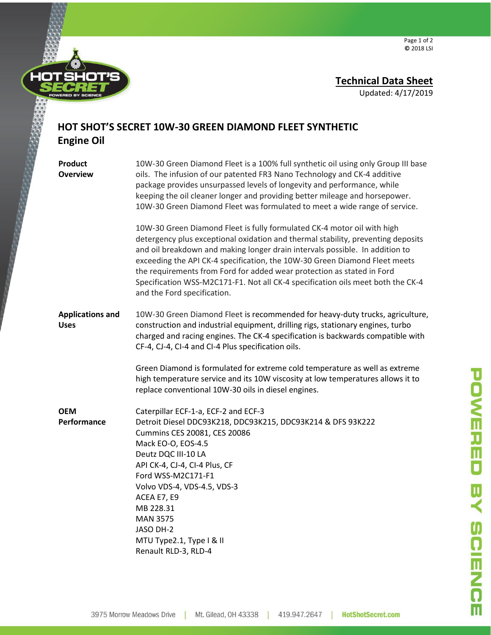

## **Technical Data Sheet**

Updated: 4/17/2019

## **HOT SHOT'S SECRET 10W-30 GREEN DIAMOND FLEET SYNTHETIC Engine Oil**

| Product<br><b>Overview</b>             | 10W-30 Green Diamond Fleet is a 100% full synthetic oil using only Group III base<br>oils. The infusion of our patented FR3 Nano Technology and CK-4 additive<br>package provides unsurpassed levels of longevity and performance, while<br>keeping the oil cleaner longer and providing better mileage and horsepower.<br>10W-30 Green Diamond Fleet was formulated to meet a wide range of service.                                                                                                                 |  |
|----------------------------------------|-----------------------------------------------------------------------------------------------------------------------------------------------------------------------------------------------------------------------------------------------------------------------------------------------------------------------------------------------------------------------------------------------------------------------------------------------------------------------------------------------------------------------|--|
|                                        | 10W-30 Green Diamond Fleet is fully formulated CK-4 motor oil with high<br>detergency plus exceptional oxidation and thermal stability, preventing deposits<br>and oil breakdown and making longer drain intervals possible. In addition to<br>exceeding the API CK-4 specification, the 10W-30 Green Diamond Fleet meets<br>the requirements from Ford for added wear protection as stated in Ford<br>Specification WSS-M2C171-F1. Not all CK-4 specification oils meet both the CK-4<br>and the Ford specification. |  |
| <b>Applications and</b><br><b>Uses</b> | 10W-30 Green Diamond Fleet is recommended for heavy-duty trucks, agriculture,<br>construction and industrial equipment, drilling rigs, stationary engines, turbo<br>charged and racing engines. The CK-4 specification is backwards compatible with<br>CF-4, CJ-4, CI-4 and CI-4 Plus specification oils.                                                                                                                                                                                                             |  |
|                                        | Green Diamond is formulated for extreme cold temperature as well as extreme<br>high temperature service and its 10W viscosity at low temperatures allows it to<br>replace conventional 10W-30 oils in diesel engines.                                                                                                                                                                                                                                                                                                 |  |
| <b>OEM</b><br>Performance              | Caterpillar ECF-1-a, ECF-2 and ECF-3<br>Detroit Diesel DDC93K218, DDC93K215, DDC93K214 & DFS 93K222<br>Cummins CES 20081, CES 20086<br>Mack EO-O, EOS-4.5<br>Deutz DQC III-10 LA<br>API CK-4, CJ-4, CI-4 Plus, CF<br>Ford WSS-M2C171-F1<br>Volvo VDS-4, VDS-4.5, VDS-3<br>ACEA E7, E9<br>MB 228.31<br><b>MAN 3575</b><br>JASO DH-2<br>MTU Type2.1, Type I & II<br>Renault RLD-3, RLD-4                                                                                                                                |  |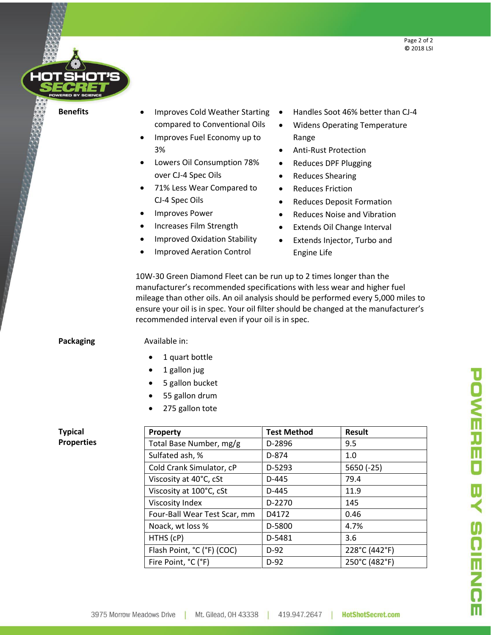

- **Benefits** Improves Cold Weather Starting compared to Conventional Oils
	- Improves Fuel Economy up to 3%
	- Lowers Oil Consumption 78% over CJ-4 Spec Oils
	- 71% Less Wear Compared to CJ-4 Spec Oils
	- Improves Power
	- Increases Film Strength
	- Improved Oxidation Stability
	- Improved Aeration Control
- Handles Soot 46% better than CJ-4
- Widens Operating Temperature Range
- Anti-Rust Protection
- Reduces DPF Plugging
- Reduces Shearing
- Reduces Friction
- Reduces Deposit Formation
- Reduces Noise and Vibration
- Extends Oil Change Interval
- Extends Injector, Turbo and Engine Life

10W-30 Green Diamond Fleet can be run up to 2 times longer than the manufacturer's recommended specifications with less wear and higher fuel mileage than other oils. An oil analysis should be performed every 5,000 miles to ensure your oil is in spec. Your oil filter should be changed at the manufacturer's recommended interval even if your oil is in spec.

**Packaging Available in:** 

- 1 quart bottle
- 1 gallon jug
- 5 gallon bucket
- 55 gallon drum
- 275 gallon tote

## **Typical Properties**

| Property                     | <b>Test Method</b> | <b>Result</b> |
|------------------------------|--------------------|---------------|
| Total Base Number, mg/g      | D-2896             | 9.5           |
| Sulfated ash, %              | D-874              | 1.0           |
| Cold Crank Simulator, cP     | D-5293             | $5650(-25)$   |
| Viscosity at 40°C, cSt       | D-445              | 79.4          |
| Viscosity at 100°C, cSt      | D-445              | 11.9          |
| Viscosity Index              | D-2270             | 145           |
| Four-Ball Wear Test Scar, mm | D4172              | 0.46          |
| Noack, wt loss %             | D-5800             | 4.7%          |
| HTHS (cP)                    | D-5481             | 3.6           |
| Flash Point, °C (°F) (COC)   | $D-92$             | 228°C (442°F) |
| Fire Point, °C (°F)          | $D-92$             | 250°C (482°F) |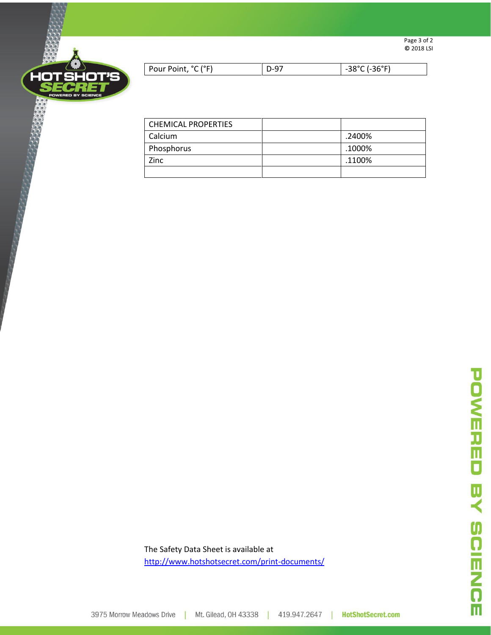



| Pour Point, °C (°F) | 36°F)<br>. . |
|---------------------|--------------|
|                     |              |

| <b>CHEMICAL PROPERTIES</b> |        |
|----------------------------|--------|
| Calcium                    | .2400% |
| Phosphorus                 | .1000% |
| Zinc                       | .1100% |
|                            |        |

The Safety Data Sheet is available at <http://www.hotshotsecret.com/print-documents/>